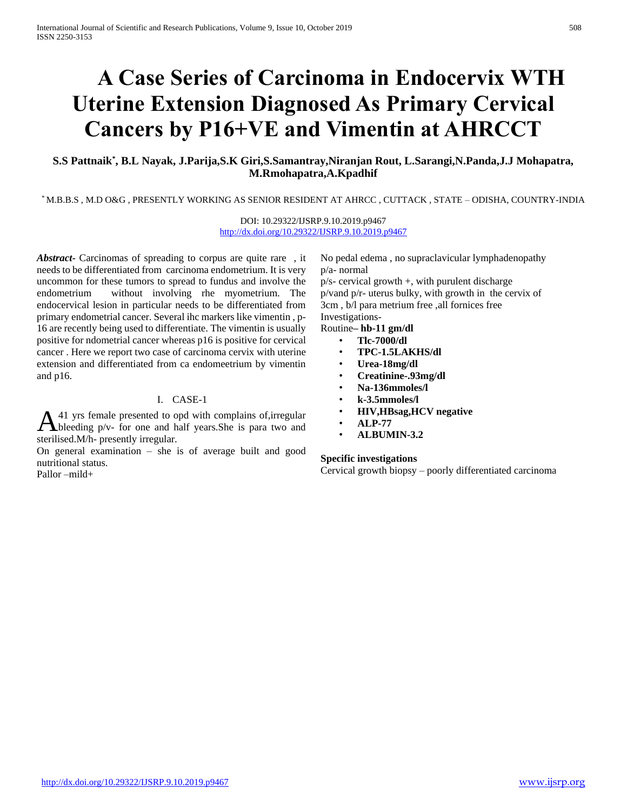# **A Case Series of Carcinoma in Endocervix WTH Uterine Extension Diagnosed As Primary Cervical Cancers by P16+VE and Vimentin at AHRCCT**

## **S.S Pattnaik\* , B.L Nayak, J.Parija,S.K Giri,S.Samantray,Niranjan Rout, L.Sarangi,N.Panda,J.J Mohapatra, M.Rmohapatra,A.Kpadhif**

\* M.B.B.S , M.D O&G , PRESENTLY WORKING AS SENIOR RESIDENT AT AHRCC , CUTTACK , STATE – ODISHA, COUNTRY-INDIA

DOI: 10.29322/IJSRP.9.10.2019.p9467 <http://dx.doi.org/10.29322/IJSRP.9.10.2019.p9467>

*Abstract***-** Carcinomas of spreading to corpus are quite rare , it needs to be differentiated from carcinoma endometrium. It is very uncommon for these tumors to spread to fundus and involve the endometrium without involving rhe myometrium. The endocervical lesion in particular needs to be differentiated from primary endometrial cancer. Several ihc markers like vimentin , p-16 are recently being used to differentiate. The vimentin is usually positive for ndometrial cancer whereas p16 is positive for cervical cancer . Here we report two case of carcinoma cervix with uterine extension and differentiated from ca endomeetrium by vimentin and p16.

## I. CASE-1

41 yrs female presented to opd with complains of,irregular  $\mathbf{A}$ <sup>41</sup> yrs female presented to opd with complains of, irregular bleeding  $p/v$ - for one and half years. She is para two and sterilised.M/h- presently irregular.

On general examination – she is of average built and good nutritional status. Pallor –mild+

No pedal edema , no supraclavicular lymphadenopathy p/a- normal p/s- cervical growth +, with purulent discharge p/vand p/r- uterus bulky, with growth in the cervix of 3cm , b/l para metrium free ,all fornices free Investigations-

## Routine**– hb-11 gm/dl**

- **Tlc-7000/dl**
- **TPC-1.5LAKHS/dl**
- **Urea-18mg/dl**
- **Creatinine-.93mg/dl**
- **Na-136mmoles/l**
- **k-3.5mmoles/l**
- **HIV,HBsag,HCV negative**
- **ALP-77**
- **ALBUMIN-3.2**

#### **Specific investigations**

Cervical growth biopsy – poorly differentiated carcinoma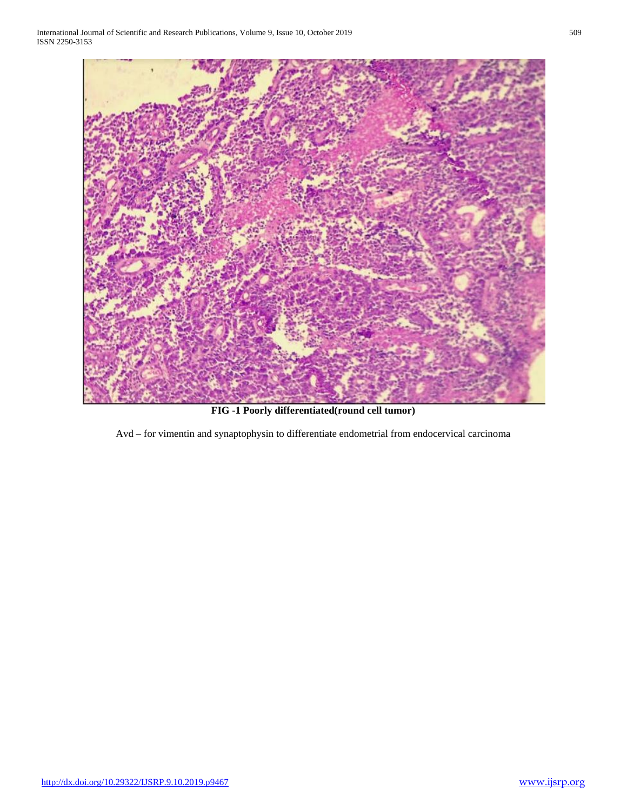International Journal of Scientific and Research Publications, Volume 9, Issue 10, October 2019 509 ISSN 2250-3153



**FIG -1 Poorly differentiated(round cell tumor)**

Avd – for vimentin and synaptophysin to differentiate endometrial from endocervical carcinoma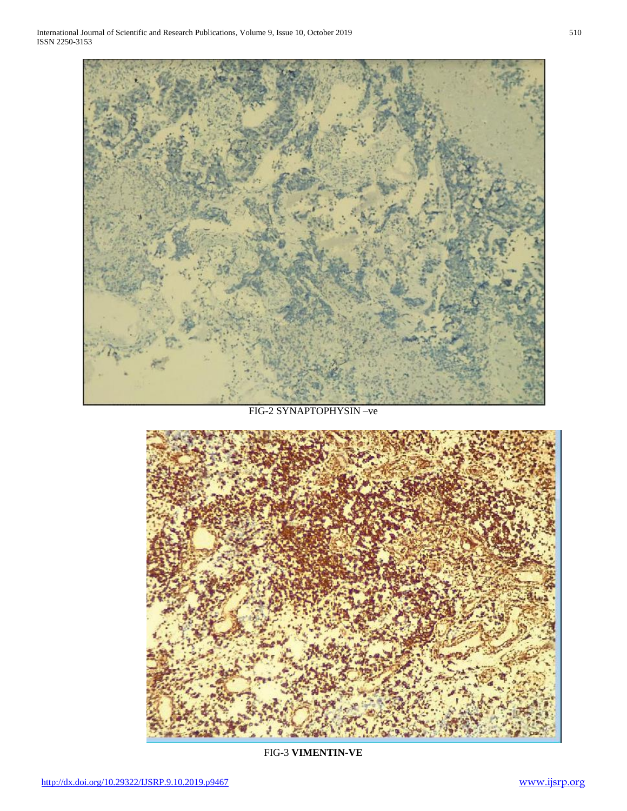

## FIG-2 SYNAPTOPHYSIN –ve



FIG-3 **VIMENTIN-VE**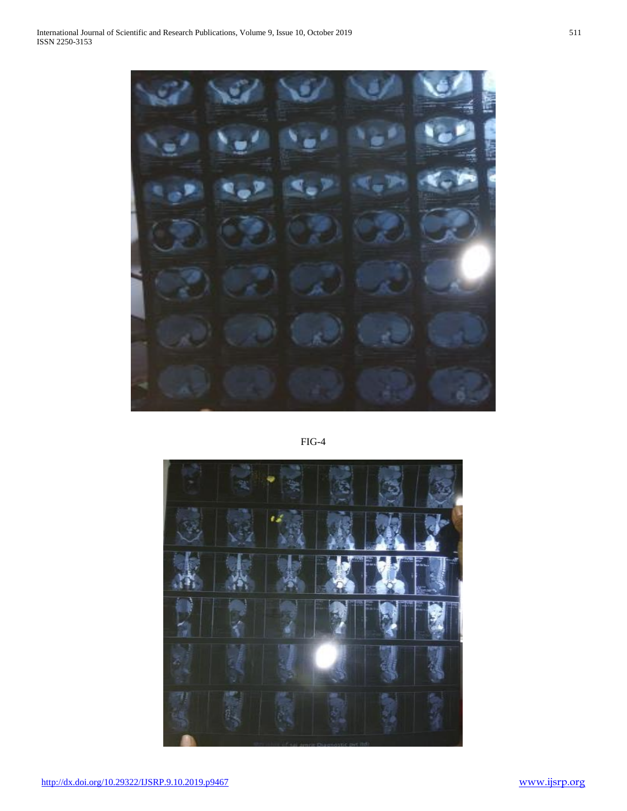FIG-4

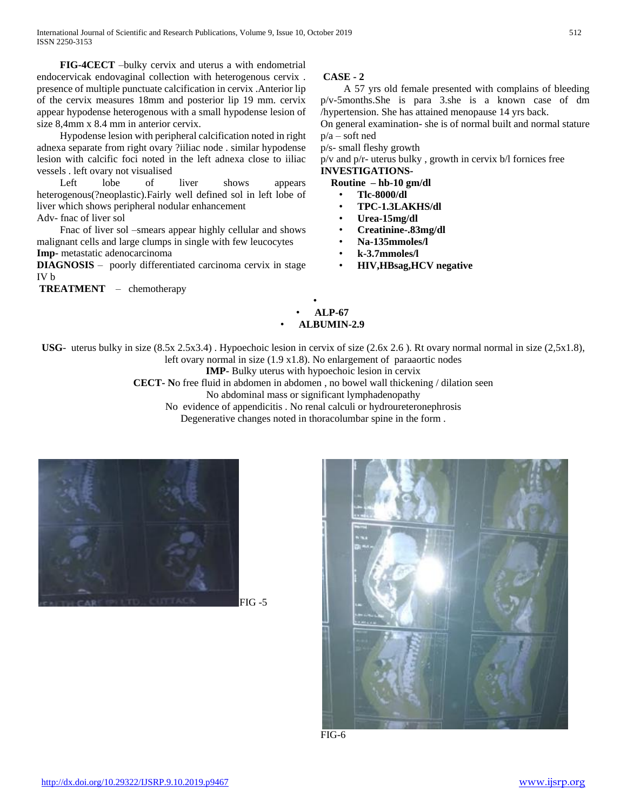**FIG-4CECT** –bulky cervix and uterus a with endometrial endocervicak endovaginal collection with heterogenous cervix . presence of multiple punctuate calcification in cervix .Anterior lip of the cervix measures 18mm and posterior lip 19 mm. cervix appear hypodense heterogenous with a small hypodense lesion of size 8,4mm x 8.4 mm in anterior cervix.

Hypodense lesion with peripheral calcification noted in right adnexa separate from right ovary ?iiliac node . similar hypodense lesion with calcific foci noted in the left adnexa close to iiliac vessels . left ovary not visualised

Left lobe of liver shows appears heterogenous(?neoplastic).Fairly well defined sol in left lobe of liver which shows peripheral nodular enhancement

Adv- fnac of liver sol

Fnac of liver sol –smears appear highly cellular and shows malignant cells and large clumps in single with few leucocytes **Imp-** metastatic adenocarcinoma

**DIAGNOSIS** – poorly differentiated carcinoma cervix in stage IV b

**TREATMENT** – chemotherapy

## **CASE - 2**

A 57 yrs old female presented with complains of bleeding p/v-5months.She is para 3.she is a known case of dm /hypertension. She has attained menopause 14 yrs back.

On general examination- she is of normal built and normal stature  $p/a$  – soft ned

p/s- small fleshy growth

p/v and p/r- uterus bulky , growth in cervix b/l fornices free **INVESTIGATIONS-**

 **Routine – hb-10 gm/dl**

- **Tlc-8000/dl**
- **TPC-1.3LAKHS/dl**
- **Urea-15mg/dl**
- **Creatinine-.83mg/dl**
- **Na-135mmoles/l**
- **k-3.7mmoles/l**
- **HIV,HBsag,HCV negative**
- **ALP-67** • **ALBUMIN-2.9**

•

**USG**- uterus bulky in size (8.5x 2.5x3.4) . Hypoechoic lesion in cervix of size (2.6x 2.6 ). Rt ovary normal normal in size (2,5x1.8), left ovary normal in size (1.9 x1.8). No enlargement of paraaortic nodes

**IMP-** Bulky uterus with hypoechoic lesion in cervix

**CECT- N**o free fluid in abdomen in abdomen , no bowel wall thickening / dilation seen

No abdominal mass or significant lymphadenopathy

No evidence of appendicitis . No renal calculi or hydroureteronephrosis

Degenerative changes noted in thoracolumbar spine in the form.



FIG -5



FIG-6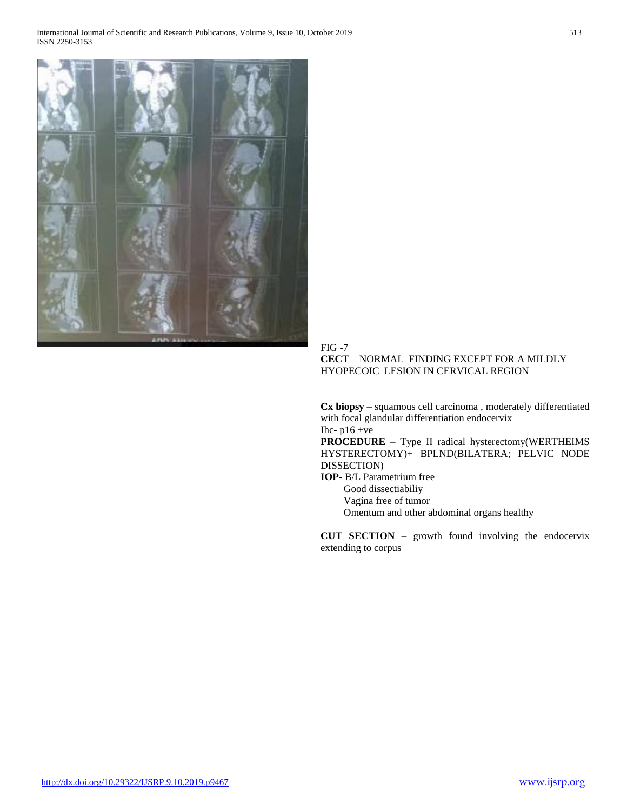

FIG -7 **CECT** – NORMAL FINDING EXCEPT FOR A MILDLY HYOPECOIC LESION IN CERVICAL REGION

**Cx biopsy** – squamous cell carcinoma , moderately differentiated with focal glandular differentiation endocervix Ihc-  $p16 + ve$ 

**PROCEDURE** – Type II radical hysterectomy(WERTHEIMS HYSTERECTOMY)+ BPLND(BILATERA; PELVIC NODE DISSECTION)

**IOP**- B/L Parametrium free Good dissectiabiliy Vagina free of tumor Omentum and other abdominal organs healthy

**CUT SECTION** – growth found involving the endocervix extending to corpus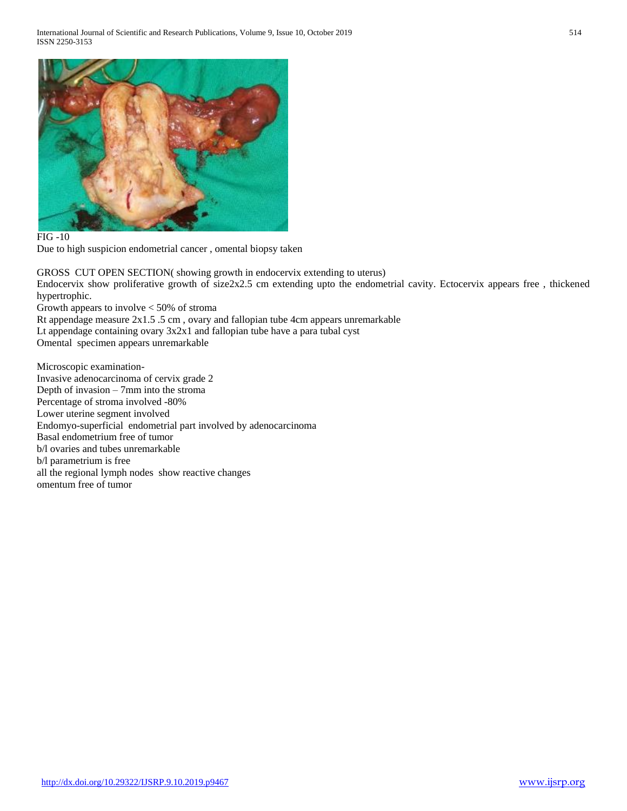

FIG -10

Due to high suspicion endometrial cancer , omental biopsy taken

GROSS CUT OPEN SECTION( showing growth in endocervix extending to uterus) Endocervix show proliferative growth of size2x2.5 cm extending upto the endometrial cavity. Ectocervix appears free , thickened hypertrophic.

Growth appears to involve < 50% of stroma

Rt appendage measure 2x1.5 .5 cm , ovary and fallopian tube 4cm appears unremarkable

Lt appendage containing ovary 3x2x1 and fallopian tube have a para tubal cyst

Omental specimen appears unremarkable

Microscopic examination-Invasive adenocarcinoma of cervix grade 2 Depth of invasion – 7mm into the stroma Percentage of stroma involved -80% Lower uterine segment involved Endomyo-superficial endometrial part involved by adenocarcinoma Basal endometrium free of tumor b/l ovaries and tubes unremarkable b/l parametrium is free all the regional lymph nodes show reactive changes omentum free of tumor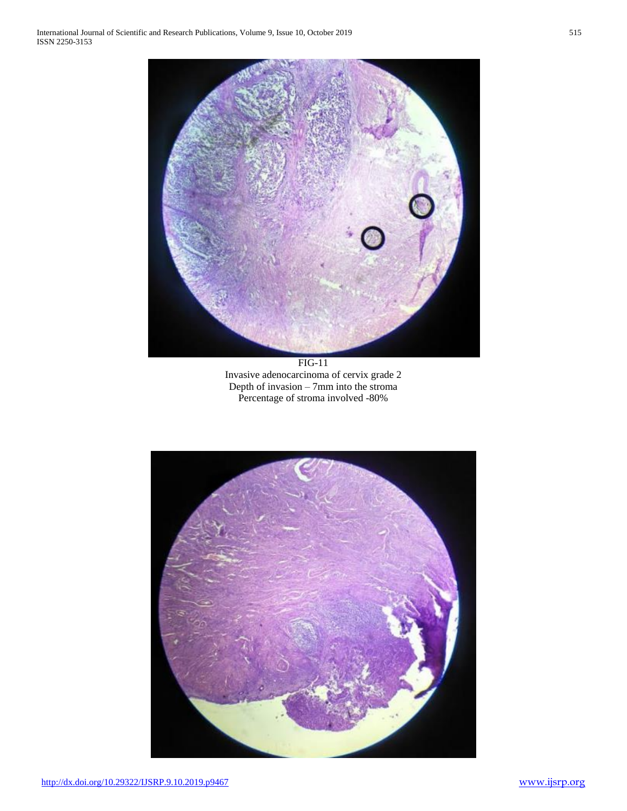

FIG-11 Invasive adenocarcinoma of cervix grade 2 Depth of invasion – 7mm into the stroma Percentage of stroma involved -80%

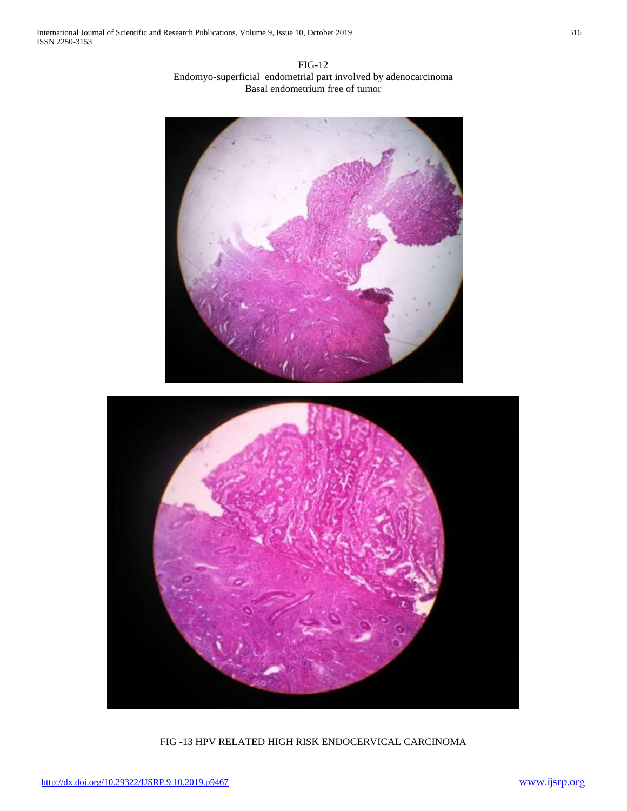FIG-12 Endomyo-superficial endometrial part involved by adenocarcinoma Basal endometrium free of tumor





FIG -13 HPV RELATED HIGH RISK ENDOCERVICAL CARCINOMA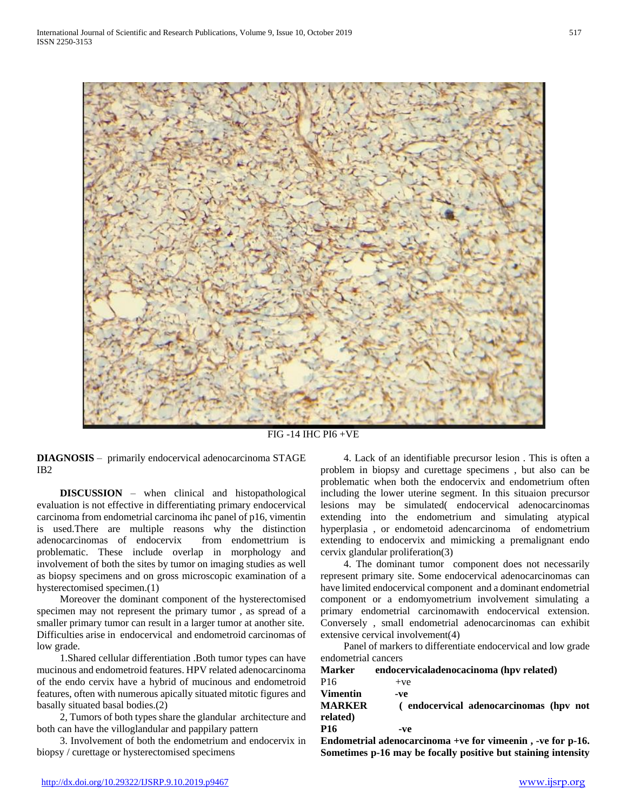

FIG -14 IHC PI6 +VE

**DIAGNOSIS** – primarily endocervical adenocarcinoma STAGE IB2

 **DISCUSSION** – when clinical and histopathological evaluation is not effective in differentiating primary endocervical carcinoma from endometrial carcinoma ihc panel of p16, vimentin is used.There are multiple reasons why the distinction adenocarcinomas of endocervix from endomettrium is problematic. These include overlap in morphology and involvement of both the sites by tumor on imaging studies as well as biopsy specimens and on gross microscopic examination of a hysterectomised specimen.(1)

Moreover the dominant component of the hysterectomised specimen may not represent the primary tumor , as spread of a smaller primary tumor can result in a larger tumor at another site. Difficulties arise in endocervical and endometroid carcinomas of low grade.

1.Shared cellular differentiation .Both tumor types can have mucinous and endometroid features. HPV related adenocarcinoma of the endo cervix have a hybrid of mucinous and endometroid features, often with numerous apically situated mitotic figures and basally situated basal bodies.(2)

2, Tumors of both types share the glandular architecture and both can have the villoglandular and pappilary pattern

3. Involvement of both the endometrium and endocervix in biopsy / curettage or hysterectomised specimens

4. Lack of an identifiable precursor lesion . This is often a problem in biopsy and curettage specimens , but also can be problematic when both the endocervix and endometrium often including the lower uterine segment. In this situaion precursor lesions may be simulated( endocervical adenocarcinomas extending into the endometrium and simulating atypical hyperplasia , or endometoid adencarcinoma of endometrium extending to endocervix and mimicking a premalignant endo cervix glandular proliferation(3)

4. The dominant tumor component does not necessarily represent primary site. Some endocervical adenocarcinomas can have limited endocervical component and a dominant endometrial component or a endomyometrium involvement simulating a primary endometrial carcinomawith endocervical extension. Conversely , small endometrial adenocarcinomas can exhibit extensive cervical involvement(4)

Panel of markers to differentiate endocervical and low grade endometrial cancers

| Marker                                | endocervicaladenocacinoma (hpv related)       |
|---------------------------------------|-----------------------------------------------|
| P16                                   | $+ve$                                         |
| Vimentin<br><b>MARKER</b><br>related) | -ve<br>(endocervical adenocarcinomas (hpv not |
| P16                                   | -ve                                           |

**Endometrial adenocarcinoma +ve for vimeenin , -ve for p-16. Sometimes p-16 may be focally positive but staining intensity**